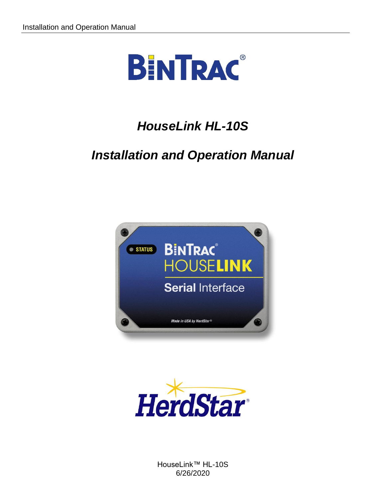

# *HouseLink HL-10S*

# *Installation and Operation Manual*





HouseLink™ HL-10S 6/26/2020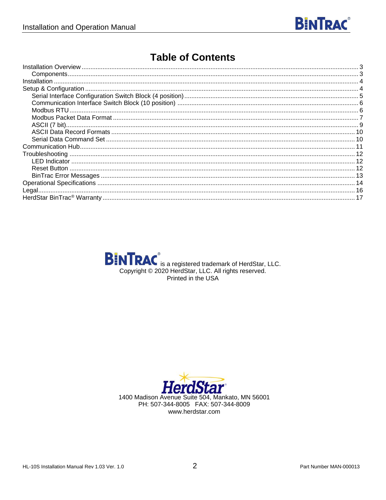

### **Table of Contents**



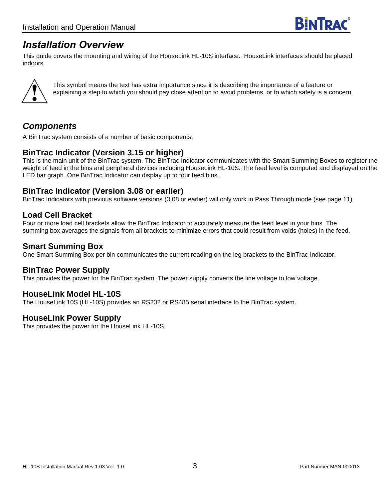### <span id="page-2-0"></span>*Installation Overview*

This guide covers the mounting and wiring of the HouseLink HL-10S interface. HouseLink interfaces should be placed indoors.



This symbol means the text has extra importance since it is describing the importance of a feature or explaining a step to which you should pay close attention to avoid problems, or to which safety is a concern.

### <span id="page-2-1"></span>*Components*

A BinTrac system consists of a number of basic components:

#### **BinTrac Indicator (Version 3.15 or higher)**

This is the main unit of the BinTrac system. The BinTrac Indicator communicates with the Smart Summing Boxes to register the weight of feed in the bins and peripheral devices including HouseLink HL-10S. The feed level is computed and displayed on the LED bar graph. One BinTrac Indicator can display up to four feed bins.

#### **BinTrac Indicator (Version 3.08 or earlier)**

BinTrac Indicators with previous software versions (3.08 or earlier) will only work in Pass Through mode (see page 11).

#### **Load Cell Bracket**

Four or more load cell brackets allow the BinTrac Indicator to accurately measure the feed level in your bins. The summing box averages the signals from all brackets to minimize errors that could result from voids (holes) in the feed.

#### **Smart Summing Box**

One Smart Summing Box per bin communicates the current reading on the leg brackets to the BinTrac Indicator.

#### **BinTrac Power Supply**

This provides the power for the BinTrac system. The power supply converts the line voltage to low voltage.

#### **HouseLink Model HL-10S**

The HouseLink 10S (HL-10S) provides an RS232 or RS485 serial interface to the BinTrac system.

#### **HouseLink Power Supply**

This provides the power for the HouseLink HL-10S.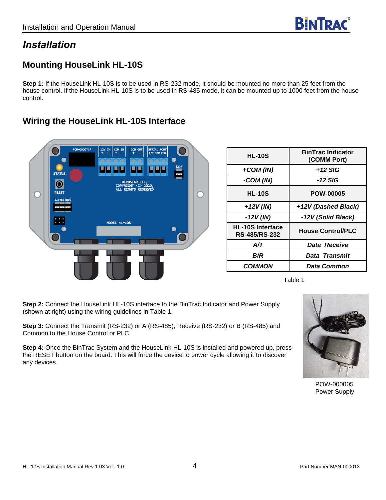### <span id="page-3-0"></span>*Installation*

### **Mounting HouseLink HL-10S**

**Step 1:** If the HouseLink HL-10S is to be used in RS-232 mode, it should be mounted no more than 25 feet from the house control. If the HouseLink HL-10S is to be used in RS-485 mode, it can be mounted up to 1000 feet from the house control.

# **PCR-000072 STATUS**  $\bullet$ **RESET** MODEL HL-10S

**Wiring the HouseLink HL-10S Interface**

| <b>HL-10S</b>                                   | <b>BinTrac Indicator</b><br>(COMM Port) |
|-------------------------------------------------|-----------------------------------------|
| +COM (IN)                                       | +12 SIG                                 |
| -COM (IN)                                       | -12 SIG                                 |
| <b>HL-10S</b>                                   | <b>POW-00005</b>                        |
| $+12V$ (IN)                                     | +12V (Dashed Black)                     |
| -12V (IN)                                       | -12V (Solid Black)                      |
| <b>HL-10S Interface</b><br><b>RS-485/RS-232</b> | <b>House Control/PLC</b>                |
| A/T                                             | Data Receive                            |
| B/R                                             | Data Transmit                           |
| <b>COMMON</b>                                   | <b>Data Common</b>                      |

Table 1

**Step 2:** Connect the HouseLink HL-10S interface to the BinTrac Indicator and Power Supply (shown at right) using the wiring guidelines in Table 1.

**Step 3:** Connect the Transmit (RS-232) or A (RS-485), Receive (RS-232) or B (RS-485) and Common to the House Control or PLC.

<span id="page-3-1"></span>**Step 4:** Once the BinTrac System and the HouseLink HL-10S is installed and powered up, press the RESET button on the board. This will force the device to power cycle allowing it to discover any devices.



POW-000005 Power Supply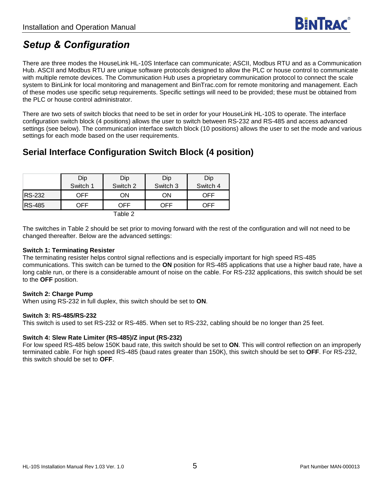# *Setup & Configuration*

There are three modes the HouseLink HL-10S Interface can communicate; ASCII, Modbus RTU and as a Communication Hub. ASCII and Modbus RTU are unique software protocols designed to allow the PLC or house control to communicate with multiple remote devices. The Communication Hub uses a proprietary communication protocol to connect the scale system to BinLink for local monitoring and management and BinTrac.com for remote monitoring and management. Each of these modes use specific setup requirements. Specific settings will need to be provided; these must be obtained from the PLC or house control administrator.

There are two sets of switch blocks that need to be set in order for your HouseLink HL-10S to operate. The interface configuration switch block (4 positions) allows the user to switch between RS-232 and RS-485 and access advanced settings (see below). The communication interface switch block (10 positions) allows the user to set the mode and various settings for each mode based on the user requirements.

### <span id="page-4-0"></span>**Serial Interface Configuration Switch Block (4 position)**

|               | Dip      | Dip               | Dip      | Dip      |
|---------------|----------|-------------------|----------|----------|
|               | Switch 1 | Switch 2          | Switch 3 | Switch 4 |
| <b>RS-232</b> | OFF      | ΟN                | ΟN       | OFF      |
| <b>RS-485</b> | OFF      | OFF               | OFF      | 7FF      |
|               |          | $T$ ahla $\Omega$ |          |          |

Table 2

The switches in Table 2 should be set prior to moving forward with the rest of the configuration and will not need to be changed thereafter. Below are the advanced settings:

#### **Switch 1: Terminating Resister**

The terminating resister helps control signal reflections and is especially important for high speed RS-485 communications. This switch can be turned to the **ON** position for RS-485 applications that use a higher baud rate, have a long cable run, or there is a considerable amount of noise on the cable. For RS-232 applications, this switch should be set to the **OFF** position.

#### **Switch 2: Charge Pump**

When using RS-232 in full duplex, this switch should be set to **ON**.

#### **Switch 3: RS-485/RS-232**

This switch is used to set RS-232 or RS-485. When set to RS-232, cabling should be no longer than 25 feet.

#### **Switch 4: Slew Rate Limiter (RS-485)/Z input (RS-232)**

For low speed RS-485 below 150K baud rate, this switch should be set to **ON**. This will control reflection on an improperly terminated cable. For high speed RS-485 (baud rates greater than 150K), this switch should be set to **OFF**. For RS-232, this switch should be set to **OFF**.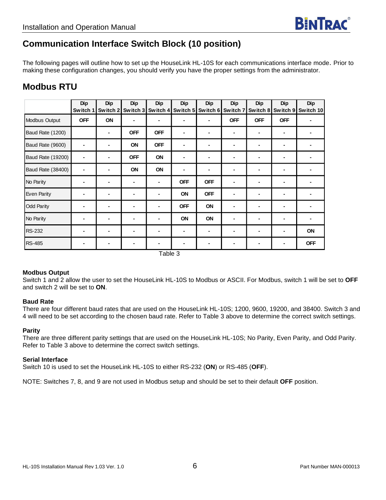### <span id="page-5-0"></span>**Communication Interface Switch Block (10 position)**

The following pages will outline how to set up the HouseLink HL-10S for each communications interface mode. Prior to making these configuration changes, you should verify you have the proper settings from the administrator.

### <span id="page-5-1"></span>**Modbus RTU**

|                          | <b>Dip</b>    | <b>Dip</b> | Dip        | Dip        | <b>Dip</b> | Dip        | <b>Dip</b> | Dip                      | <b>Dip</b> | <b>Dip</b> |
|--------------------------|---------------|------------|------------|------------|------------|------------|------------|--------------------------|------------|------------|
|                          | <b>Switch</b> | Switch 2   | Switch 3   | Switch 4   | Switch 5   | Switch 6   | Switch 7   | Switch 8                 | Switch 9   | Switch 10  |
| Modbus Output            | <b>OFF</b>    | ON         | ۰          | ٠          |            |            | <b>OFF</b> | <b>OFF</b>               | <b>OFF</b> |            |
| Baud Rate (1200)         |               | ٠          | <b>OFF</b> | <b>OFF</b> |            |            | ٠          | ٠                        |            |            |
| Baud Rate (9600)         |               |            | ON         | <b>OFF</b> |            |            |            | ٠                        |            |            |
| <b>Baud Rate (19200)</b> |               |            | <b>OFF</b> | ON         |            |            |            | ٠                        |            |            |
| <b>Baud Rate (38400)</b> |               | -          | ON         | ON         |            | ۰          |            | ٠                        | ٠          |            |
| No Parity                |               | -          |            | ٠          | <b>OFF</b> | <b>OFF</b> |            | $\overline{\phantom{a}}$ |            |            |
| Even Parity              |               | -          |            | ٠          | ON         | <b>OFF</b> |            | ٠                        |            |            |
| Odd Parity               |               |            |            | ٠          | <b>OFF</b> | ON         |            | ٠                        |            |            |
| No Parity                |               |            |            |            | ON         | ON         |            |                          |            |            |
| <b>RS-232</b>            |               |            |            |            |            |            |            |                          |            | ON         |
| <b>RS-485</b>            |               |            |            |            |            |            |            |                          |            | <b>OFF</b> |
| $T$ ohlo $\Omega$        |               |            |            |            |            |            |            |                          |            |            |

Table 3

#### **Modbus Output**

Switch 1 and 2 allow the user to set the HouseLink HL-10S to Modbus or ASCII. For Modbus, switch 1 will be set to **OFF** and switch 2 will be set to **ON**.

#### **Baud Rate**

There are four different baud rates that are used on the HouseLink HL-10S; 1200, 9600, 19200, and 38400. Switch 3 and 4 will need to be set according to the chosen baud rate. Refer to Table 3 above to determine the correct switch settings.

#### **Parity**

There are three different parity settings that are used on the HouseLink HL-10S; No Parity, Even Parity, and Odd Parity. Refer to Table 3 above to determine the correct switch settings.

#### **Serial Interface**

Switch 10 is used to set the HouseLink HL-10S to either RS-232 (**ON**) or RS-485 (**OFF**).

NOTE: Switches 7, 8, and 9 are not used in Modbus setup and should be set to their default **OFF** position.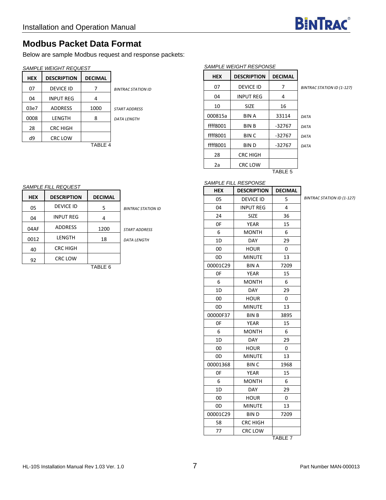

### <span id="page-6-0"></span>**Modbus Packet Data Format**

Below are sample Modbus request and response packets:

#### *SAMPLE WEIGHT REQUEST*

| <b>HEX</b> | <b>DESCRIPTION</b> | <b>DECIMAL</b> |                           |
|------------|--------------------|----------------|---------------------------|
| 07         | <b>DEVICE ID</b>   |                | <b>BINTRAC STATION ID</b> |
| 04         | <b>INPUT REG</b>   | Δ              |                           |
| 03e7       | <b>ADDRESS</b>     | 1000           | <b>START ADDRESS</b>      |
| 0008       | LENGTH             | 8              | <b>DATA LENGTH</b>        |
| 28         | <b>CRC HIGH</b>    |                |                           |
| d9         | <b>CRC LOW</b>     |                |                           |
|            |                    | TABLE 4        |                           |

#### *SAMPLE WEIGHT RESPONSE*

| HEX      | <b>DESCRIPTION</b> | <b>DECIMAL</b>     |              |
|----------|--------------------|--------------------|--------------|
| 07       | <b>DEVICE ID</b>   | 7                  | <b>BINTF</b> |
| 04       | <b>INPUT REG</b>   | 4                  |              |
| 10       | <b>SIZE</b>        | 16                 |              |
| 000815a  | <b>BIN A</b>       | 33114              | DATA         |
| ffff8001 | <b>BIN B</b>       | -32767             | DATA         |
| ffff8001 | BIN C              | -32767             | DATA         |
| ffff8001 | BIN D              | -32767             | DATA         |
| 28       | CRC HIGH           |                    |              |
| 2a       | <b>CRC LOW</b>     |                    |              |
|          |                    | TABLE <sub>5</sub> |              |

07 DEVICE ID 7 *BINTRAC STATION ID (1-127)*

*BINTRAC STATION ID (1-127)*

#### *SAMPLE FILL RESPONSE*

|            | SAMPLE FILL REQUEST |                |                           |
|------------|---------------------|----------------|---------------------------|
| <b>HEX</b> | <b>DESCRIPTION</b>  | <b>DECIMAL</b> |                           |
| 05         | <b>DEVICE ID</b>    | 5              | <b>BINTRAC STATION ID</b> |
| 04         | <b>INPUT REG</b>    | 4              |                           |
| 04AF       | <b>ADDRESS</b>      | 1200           | <b>START ADDRESS</b>      |
| 0012       | LENGTH              | 18             | <b>DATA LENGTH</b>        |
| 40         | CRC HIGH            |                |                           |
| 92         | <b>CRC LOW</b>      |                |                           |
|            |                     | TABLE 6        |                           |
|            |                     |                |                           |

| <b>HEX</b> | <b>DESCRIPTION</b> | <b>DECIMAL</b>     |
|------------|--------------------|--------------------|
| 05         | <b>DEVICE ID</b>   | 5                  |
| 04         | <b>INPUT REG</b>   | 4                  |
| 24         | <b>SIZE</b>        | 36                 |
| 0F         | <b>YEAR</b>        | 15                 |
| 6          | <b>MONTH</b>       | 6                  |
| 1D         | <b>DAY</b>         | 29                 |
| 00         | <b>HOUR</b>        | 0                  |
| 0D         | <b>MINUTE</b>      | 13                 |
| 00001C29   | <b>BIN A</b>       | 7209               |
| 0F         | YEAR               | 15                 |
| 6          | <b>MONTH</b>       | 6                  |
| 1D         | <b>DAY</b>         | 29                 |
| 00         | <b>HOUR</b>        | 0                  |
| 0D         | <b>MINUTE</b>      | 13                 |
| 00000F37   | <b>BINB</b>        | 3895               |
| 0F         | YEAR               | 15                 |
| 6          | MONTH              | 6                  |
| 1D         | <b>DAY</b>         | 29                 |
| 00         | <b>HOUR</b>        | 0                  |
| 0D         | <b>MINUTE</b>      | 13                 |
| 00001368   | <b>BINC</b>        | 1968               |
| 0F         | YEAR               | 15                 |
| 6          | <b>MONTH</b>       | 6                  |
| 1D         | <b>DAY</b>         | 29                 |
| 00         | <b>HOUR</b>        | 0                  |
| 0D         | <b>MINUTE</b>      | 13                 |
| 00001C29   | BIN D              | 7209               |
| 58         | <b>CRC HIGH</b>    |                    |
| 77         | <b>CRC LOW</b>     |                    |
|            |                    | TABLE <sub>7</sub> |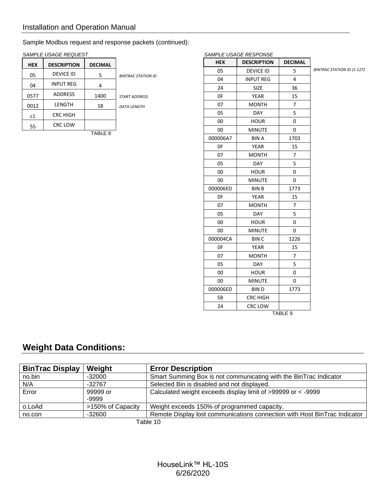Sample Modbus request and response packets (continued):

|            | SAMPLE USAGE REQUEST |                |                           |
|------------|----------------------|----------------|---------------------------|
| <b>HEX</b> | <b>DESCRIPTION</b>   | <b>DECIMAL</b> |                           |
| 05         | <b>DEVICE ID</b>     | 5              | <b>BINTRAC STATION ID</b> |
| 04         | <b>INPUT REG</b>     | 4              |                           |
| 0577       | <b>ADDRESS</b>       | 1400           | <b>START ADDRESS</b>      |
| 0012       | LENGTH               | 18             | <b>DATA LENGTH</b>        |
| c1         | <b>CRC HIGH</b>      |                |                           |
| 55         | <b>CRC LOW</b>       |                |                           |
|            |                      | TABLE 8        |                           |

|            | SAMPLE USAGE RESPONSE |                    |                            |
|------------|-----------------------|--------------------|----------------------------|
| <b>HEX</b> | <b>DESCRIPTION</b>    | <b>DECIMAL</b>     |                            |
| 05         | <b>DEVICE ID</b>      | 5                  | BINTRAC STATION ID (1-127) |
| 04         | <b>INPUT REG</b>      | 4                  |                            |
| 24         | <b>SIZE</b>           | 36                 |                            |
| 0F         | <b>YEAR</b>           | 15                 |                            |
| 07         | <b>MONTH</b>          | $\overline{7}$     |                            |
| 05         | <b>DAY</b>            | 5                  |                            |
| 00         | <b>HOUR</b>           | 0                  |                            |
| 00         | <b>MINUTE</b>         | 0                  |                            |
| 000006A7   | <b>BINA</b>           | 1703               |                            |
| 0F         | <b>YEAR</b>           | 15                 |                            |
| 07         | <b>MONTH</b>          | 7                  |                            |
| 05         | <b>DAY</b>            | 5                  |                            |
| 00         | <b>HOUR</b>           |                    |                            |
| 00         | <b>MINUTE</b>         |                    |                            |
| 000006ED   | <b>BINB</b>           | 1773               |                            |
| 0F         | <b>YEAR</b>           | 15                 |                            |
| 07         | <b>MONTH</b>          | 7                  |                            |
| 05         | <b>DAY</b>            | 5                  |                            |
| 00         | <b>HOUR</b>           | 0                  |                            |
| 00         | <b>MINUTE</b>         | 0                  |                            |
| 000004CA   | <b>BINC</b>           | 1226               |                            |
| 0F         | <b>YEAR</b>           | 15                 |                            |
| 07         | <b>MONTH</b>          | 7                  |                            |
| 05         | <b>DAY</b>            | 5                  |                            |
| 00         | <b>HOUR</b>           | 0                  |                            |
| 00         | <b>MINUTE</b>         | 0                  |                            |
| 000006ED   | <b>BIND</b>           | 1773               |                            |
| 5B         | <b>CRC HIGH</b>       |                    |                            |
| 24         | <b>CRC LOW</b>        |                    |                            |
|            |                       | TABLE <sub>9</sub> |                            |

### **Weight Data Conditions:**

| <b>BinTrac Display</b> | Weight            | <b>Error Description</b>                                                  |
|------------------------|-------------------|---------------------------------------------------------------------------|
| no.bin                 | $-32000$          | Smart Summing Box is not communicating with the BinTrac Indicator         |
| N/A                    | $-32767$          | Selected Bin is disabled and not displayed.                               |
| Error                  | 99999 or          | Calculated weight exceeds display limit of >99999 or < -9999              |
|                        | -9999             |                                                                           |
| o.LoAd                 | >150% of Capacity | Weight exceeds 150% of programmed capacity.                               |
| no.con                 | $-32600$          | Remote Display lost communications connection with Host BinTrac Indicator |
|                        |                   | $T_2$ blo 10                                                              |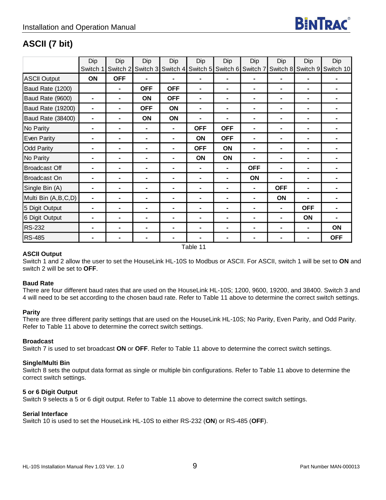

### <span id="page-8-0"></span>**ASCII (7 bit)**

|                          | Dip            | Dip            | Dip            | Dip            | Dip            | Dip                        | Dip            | Dip            | Dip            | Dip                         |
|--------------------------|----------------|----------------|----------------|----------------|----------------|----------------------------|----------------|----------------|----------------|-----------------------------|
|                          | Switch         | Switch 2       | Switch 3       | Switch 4       |                | Switch 5 Switch 6 Switch 7 |                |                |                | Switch 8 Switch 9 Switch 10 |
| <b>ASCII Output</b>      | ON             | <b>OFF</b>     |                | $\blacksquare$ | ٠              | $\blacksquare$             |                |                |                |                             |
| Baud Rate (1200)         |                |                | <b>OFF</b>     | <b>OFF</b>     | ٠              | $\blacksquare$             | ۰              |                |                |                             |
| Baud Rate (9600)         | ۰              | ۰              | ON             | <b>OFF</b>     | ٠              | $\blacksquare$             | ۰              | ۰              | ۰              |                             |
| <b>Baud Rate (19200)</b> | ۰              | $\blacksquare$ | <b>OFF</b>     | ON             | $\blacksquare$ | ۰                          | $\blacksquare$ | $\blacksquare$ | $\blacksquare$ |                             |
| Baud Rate (38400)        | ۰              |                | ON             | ON             | $\blacksquare$ | ۰                          | $\blacksquare$ | $\blacksquare$ | ٠              |                             |
| No Parity                | $\blacksquare$ |                | $\blacksquare$ | $\blacksquare$ | <b>OFF</b>     | <b>OFF</b>                 | $\blacksquare$ | $\blacksquare$ | ٠              |                             |
| Even Parity              |                | $\blacksquare$ | $\blacksquare$ | ۰              | ON             | <b>OFF</b>                 | ۰              | $\blacksquare$ | $\blacksquare$ |                             |
| <b>Odd Parity</b>        |                |                | ٠              | ۰              | <b>OFF</b>     | ON                         | $\blacksquare$ | ۰              |                |                             |
| No Parity                |                |                | ٠              | ۰              | ON             | ON                         |                | $\blacksquare$ | ۰              |                             |
| <b>Broadcast Off</b>     |                | $\blacksquare$ | $\blacksquare$ |                | ۰              | $\blacksquare$             | <b>OFF</b>     | $\blacksquare$ | ٠              |                             |
| Broadcast On             |                | $\blacksquare$ | $\blacksquare$ | $\blacksquare$ | $\blacksquare$ | $\blacksquare$             | ON             | $\blacksquare$ | ٠              |                             |
| Single Bin (A)           | ٠              | $\blacksquare$ | $\blacksquare$ | ۰              | ۰              | $\blacksquare$             | $\blacksquare$ | <b>OFF</b>     | ٠              |                             |
| Multi Bin (A,B,C,D)      |                |                |                |                | ٠              | $\blacksquare$             |                | ON             |                |                             |
| 5 Digit Output           |                | $\blacksquare$ |                | $\blacksquare$ |                | ٠                          |                |                | <b>OFF</b>     |                             |
| 6 Digit Output           |                |                |                | ۰              | ۰              | ۰                          |                |                | ON             |                             |
| <b>RS-232</b>            |                |                |                | $\blacksquare$ |                | $\blacksquare$             |                |                |                | ON                          |
| <b>RS-485</b>            | ۰              | $\blacksquare$ |                | $\blacksquare$ |                | $\blacksquare$             | $\blacksquare$ |                |                | <b>OFF</b>                  |
|                          |                |                |                |                | Table 11       |                            |                |                |                |                             |

#### **ASCII Output**

Switch 1 and 2 allow the user to set the HouseLink HL-10S to Modbus or ASCII. For ASCII, switch 1 will be set to **ON** and switch 2 will be set to **OFF**.

#### **Baud Rate**

There are four different baud rates that are used on the HouseLink HL-10S; 1200, 9600, 19200, and 38400. Switch 3 and 4 will need to be set according to the chosen baud rate. Refer to Table 11 above to determine the correct switch settings.

#### **Parity**

There are three different parity settings that are used on the HouseLink HL-10S; No Parity, Even Parity, and Odd Parity. Refer to Table 11 above to determine the correct switch settings.

#### **Broadcast**

Switch 7 is used to set broadcast **ON** or **OFF**. Refer to Table 11 above to determine the correct switch settings.

#### **Single/Multi Bin**

Switch 8 sets the output data format as single or multiple bin configurations. Refer to Table 11 above to determine the correct switch settings.

#### **5 or 6 Digit Output**

Switch 9 selects a 5 or 6 digit output. Refer to Table 11 above to determine the correct switch settings.

#### **Serial Interface**

Switch 10 is used to set the HouseLink HL-10S to either RS-232 (**ON**) or RS-485 (**OFF**).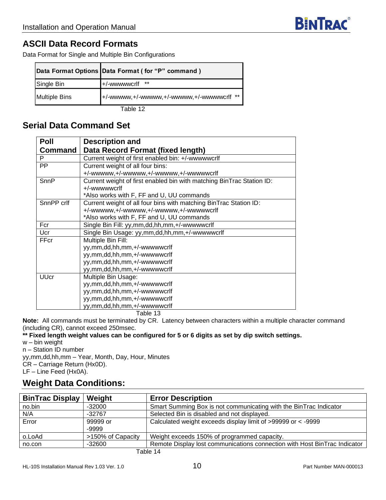### <span id="page-9-0"></span>**ASCII Data Record Formats**

Data Format for Single and Multiple Bin Configurations

|               | Data Format Options Data Format (for "P" command) |
|---------------|---------------------------------------------------|
| Single Bin    | +/-wwwwwcrlf                                      |
| Multiple Bins | +/-wwwww.+/-wwwww.+/-wwwww.+/-wwwwwcrlf **        |

Table 12

### <span id="page-9-1"></span>**Serial Data Command Set**

| <b>Poll</b>    | <b>Description and</b>                                                |
|----------------|-----------------------------------------------------------------------|
| <b>Command</b> | Data Record Format (fixed length)                                     |
| P              | Current weight of first enabled bin: +/-wwwwwcrlf                     |
| <b>PP</b>      | Current weight of all four bins:                                      |
|                | +/-wwwww,+/-wwwww,+/-wwwww,+/-wwwwwcrlf                               |
| SnnP           | Current weight of first enabled bin with matching BinTrac Station ID: |
|                | +/-wwwwwcrlf                                                          |
|                | *Also works with F, FF and U, UU commands                             |
| SnnPP crlf     | Current weight of all four bins with matching BinTrac Station ID:     |
|                | +/-wwwww,+/-wwwww,+/-wwwww,+/-wwwwwcrlf                               |
|                | *Also works with F, FF and U, UU commands                             |
| Fcr            | Single Bin Fill: yy,mm,dd,hh,mm,+/-wwwwwcrlf                          |
| Ucr            | Single Bin Usage: yy,mm,dd,hh,mm,+/-wwwwwcrlf                         |
| FFcr           | Multiple Bin Fill:                                                    |
|                | yy,mm,dd,hh,mm,+/-wwwwwcrlf                                           |
|                | yy,mm,dd,hh,mm,+/-wwwwwcrlf                                           |
|                | yy,mm,dd,hh,mm,+/-wwwwwcrlf                                           |
|                | yy,mm,dd,hh,mm,+/-wwwwwcrlf                                           |
| <b>UUcr</b>    | Multiple Bin Usage:                                                   |
|                | yy,mm,dd,hh,mm,+/-wwwwwcrlf                                           |
|                | yy,mm,dd,hh,mm,+/-wwwwwcrlf                                           |
|                | yy,mm,dd,hh,mm,+/-wwwwwcrlf                                           |
|                | yy,mm,dd,hh,mm,+/-wwwwwcrlf                                           |

Table 13

**Note:** All commands must be terminated by CR. Latency between characters within a multiple character command (including CR), cannot exceed 250msec.

#### **\*\* Fixed length weight values can be configured for 5 or 6 digits as set by dip switch settings.**

w – bin weight

n – Station ID number

yy,mm,dd,hh,mm – Year, Month, Day, Hour, Minutes CR – Carriage Return (Hx0D).

LF – Line Feed (Hx0A).

### **Weight Data Conditions:**

| <b>BinTrac Display</b> | Weight            | <b>Error Description</b>                                                  |
|------------------------|-------------------|---------------------------------------------------------------------------|
| no.bin                 | -32000            | Smart Summing Box is not communicating with the BinTrac Indicator         |
| N/A                    | $-32767$          | Selected Bin is disabled and not displayed.                               |
| Error                  | 99999 or          | Calculated weight exceeds display limit of >99999 or < -9999              |
|                        | -9999             |                                                                           |
| o.LoAd                 | >150% of Capacity | Weight exceeds 150% of programmed capacity.                               |
| no.con                 | $-32600$          | Remote Display lost communications connection with Host BinTrac Indicator |
|                        |                   | $T$ oblo 44                                                               |

Table 14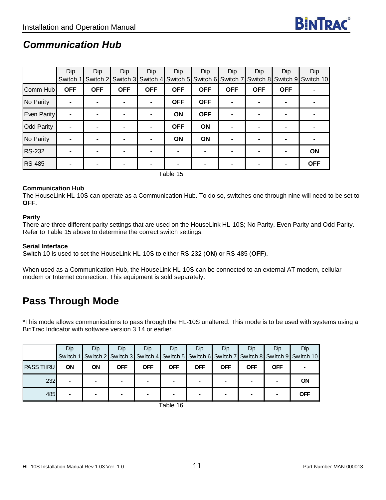### <span id="page-10-0"></span>*Communication Hub*

|                   | Dip        | Dip        | Dip            | Dip               | Dip        | Dip                                          | Dip        | Dip            | Dip        | Dip        |
|-------------------|------------|------------|----------------|-------------------|------------|----------------------------------------------|------------|----------------|------------|------------|
|                   | Switch 1   | Switch 2   |                | Switch 3 Switch 4 |            | Switch 5 Switch 6 Switch 7 Switch 8 Switch 9 |            |                |            | Switch 10  |
| Comm Hub          | <b>OFF</b> | <b>OFF</b> | <b>OFF</b>     | <b>OFF</b>        | <b>OFF</b> | <b>OFF</b>                                   | <b>OFF</b> | <b>OFF</b>     | <b>OFF</b> |            |
| No Parity         |            |            |                | $\blacksquare$    | <b>OFF</b> | <b>OFF</b>                                   |            | ۰              |            |            |
| Even Parity       |            |            |                | $\blacksquare$    | ON         | <b>OFF</b>                                   |            | ۰              |            |            |
| <b>Odd Parity</b> |            |            |                | $\blacksquare$    | <b>OFF</b> | ON                                           |            | -              |            |            |
| No Parity         |            | ۰          | $\blacksquare$ | $\blacksquare$    | <b>ON</b>  | ON                                           |            | ۰              |            |            |
| <b>RS-232</b>     |            |            |                | $\blacksquare$    |            | ۰                                            |            | $\blacksquare$ |            | ON         |
| <b>RS-485</b>     |            |            |                | $\blacksquare$    |            | ۰                                            |            | $\blacksquare$ |            | <b>OFF</b> |

Table 15

#### **Communication Hub**

The HouseLink HL-10S can operate as a Communication Hub. To do so, switches one through nine will need to be set to **OFF**.

#### **Parity**

There are three different parity settings that are used on the HouseLink HL-10S; No Parity, Even Parity and Odd Parity. Refer to Table 15 above to determine the correct switch settings.

#### **Serial Interface**

Switch 10 is used to set the HouseLink HL-10S to either RS-232 (**ON**) or RS-485 (**OFF**).

When used as a Communication Hub, the HouseLink HL-10S can be connected to an external AT modem, cellular modem or Internet connection. This equipment is sold separately.

### **Pass Through Mode**

\*This mode allows communications to pass through the HL-10S unaltered. This mode is to be used with systems using a BinTrac Indicator with software version 3.14 or earlier.

|                  | <b>Dip</b> | Dip            | <b>Dip</b> | <b>Dip</b> | Dip        | Dip        | Dip.       | <b>Dip</b> | Dip        | Dip                                                                                                  |
|------------------|------------|----------------|------------|------------|------------|------------|------------|------------|------------|------------------------------------------------------------------------------------------------------|
|                  |            |                |            |            |            |            |            |            |            | Sw itch 1 Sw itch 2 Sw itch 3 Sw itch 4 Sw itch 5 Sw itch 6 Sw itch 7 Sw itch 8 Sw itch 9 Sw itch 10 |
| <b>PASS THRU</b> | <b>ON</b>  | ON             | <b>OFF</b> | <b>OFF</b> | <b>OFF</b> | <b>OFF</b> | <b>OFF</b> | <b>OFF</b> | <b>OFF</b> |                                                                                                      |
| 232              |            | $\blacksquare$ |            |            |            |            | -          |            |            | <b>ON</b>                                                                                            |
| 485              |            | $\blacksquare$ |            |            |            |            |            |            |            | <b>OFF</b>                                                                                           |

Table 16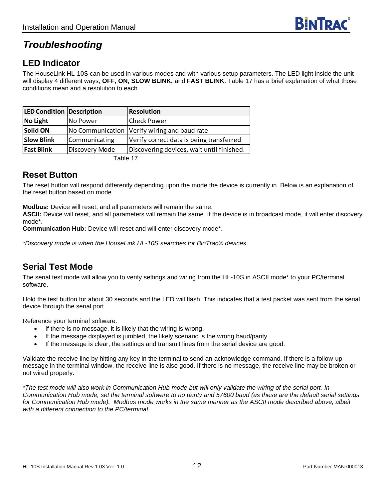### <span id="page-11-0"></span>*Troubleshooting*

### <span id="page-11-1"></span>**LED Indicator**

The HouseLink HL-10S can be used in various modes and with various setup parameters. The LED light inside the unit will display 4 different ways; **OFF, ON, SLOW BLINK,** and **FAST BLINK**. Table 17 has a brief explanation of what those conditions mean and a resolution to each.

| <b>LED Condition Description</b> |                | <b>Resolution</b>                            |
|----------------------------------|----------------|----------------------------------------------|
| <b>No Light</b>                  | No Power       | <b>Check Power</b>                           |
| Solid ON                         |                | No Communication Verify wiring and baud rate |
| <b>Slow Blink</b>                | Communicating  | Verify correct data is being transferred     |
| <b>Fast Blink</b>                | Discovery Mode | Discovering devices, wait until finished.    |
|                                  |                |                                              |

Table 17

### <span id="page-11-2"></span>**Reset Button**

The reset button will respond differently depending upon the mode the device is currently in. Below is an explanation of the reset button based on mode

**Modbus:** Device will reset, and all parameters will remain the same.

**ASCII:** Device will reset, and all parameters will remain the same. If the device is in broadcast mode, it will enter discovery mode\*.

**Communication Hub:** Device will reset and will enter discovery mode\*.

*\*Discovery mode is when the HouseLink HL-10S searches for BinTrac® devices.* 

### **Serial Test Mode**

The serial test mode will allow you to verify settings and wiring from the HL-10S in ASCII mode\* to your PC/terminal software.

Hold the test button for about 30 seconds and the LED will flash. This indicates that a test packet was sent from the serial device through the serial port.

Reference your terminal software:

- If there is no message, it is likely that the wiring is wrong.
- If the message displayed is jumbled, the likely scenario is the wrong baud/parity.
- If the message is clear, the settings and transmit lines from the serial device are good.

Validate the receive line by hitting any key in the terminal to send an acknowledge command. If there is a follow-up message in the terminal window, the receive line is also good. If there is no message, the receive line may be broken or not wired properly.

*\*The test mode will also work in Communication Hub mode but will only validate the wiring of the serial port. In Communication Hub mode, set the terminal software to no parity and 57600 baud (as these are the default serial settings for Communication Hub mode). Modbus mode works in the same manner as the ASCII mode described above, albeit with a different connection to the PC/terminal.*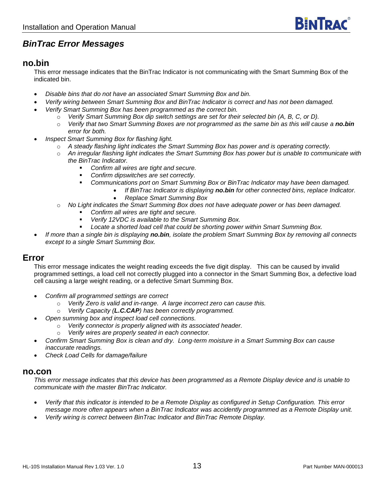### <span id="page-12-0"></span>*BinTrac Error Messages*

#### **no.bin**

This error message indicates that the BinTrac Indicator is not communicating with the Smart Summing Box of the indicated bin.

- *Disable bins that do not have an associated Smart Summing Box and bin.*
- *Verify wiring between Smart Summing Box and BinTrac Indicator is correct and has not been damaged.*
- *Verify Smart Summing Box has been programmed as the correct bin.*
	- o *Verify Smart Summing Box dip switch settings are set for their selected bin (A, B, C, or D).*
	- o *Verify that two Smart Summing Boxes are not programmed as the same bin as this will cause a no.bin error for both.*
- *Inspect Smart Summing Box for flashing light.* 
	- o *A steady flashing light indicates the Smart Summing Box has power and is operating correctly.*
	- o *An irregular flashing light indicates the Smart Summing Box has power but is unable to communicate with the BinTrac Indicator.* 
		- *Confirm all wires are tight and secure.*
		- *Confirm dipswitches are set correctly.*
		- *Communications port on Smart Summing Box or BinTrac Indicator may have been damaged.*
			- *If BinTrac Indicator is displaying no.bin for other connected bins, replace Indicator.*
				- *Replace Smart Summing Box*
	- o *No Light indicates the Smart Summing Box does not have adequate power or has been damaged.* 
		- *Confirm all wires are tight and secure.*
		- *Verify 12VDC is available to the Smart Summing Box.*
		- *Locate a shorted load cell that could be shorting power within Smart Summing Box.*
- *If more than a single bin is displaying no.bin, isolate the problem Smart Summing Box by removing all connects except to a single Smart Summing Box.*

#### **Error**

This error message indicates the weight reading exceeds the five digit display. This can be caused by invalid programmed settings, a load cell not correctly plugged into a connector in the Smart Summing Box, a defective load cell causing a large weight reading, or a defective Smart Summing Box.

- *Confirm all programmed settings are correct*
	- o *Verify Zero is valid and in-range. A large incorrect zero can cause this.*
	- o *Verify Capacity (L.C.CAP) has been correctly programmed.*
- *Open summing box and inspect load cell connections.*
	- Verify connector is properly aligned with its associated header.
	- Verify wires are properly seated in each connector.
- *Confirm Smart Summing Box is clean and dry. Long-term moisture in a Smart Summing Box can cause inaccurate readings.*
- *Check Load Cells for damage/failure*

#### **no.con**

*This error message indicates that this device has been programmed as a Remote Display device and is unable to communicate with the master BinTrac Indicator.* 

- *Verify that this indicator is intended to be a Remote Display as configured in Setup Configuration. This error message more often appears when a BinTrac Indicator was accidently programmed as a Remote Display unit.*
- *Verify wiring is correct between BinTrac Indicator and BinTrac Remote Display.*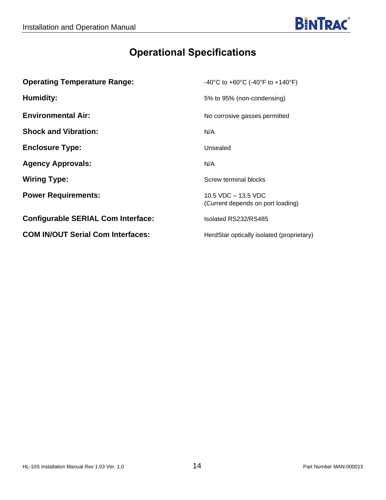# **Operational Specifications**

<span id="page-13-0"></span>

| <b>Operating Temperature Range:</b>       | -40°C to +60°C (-40°F to +140°F)                           |
|-------------------------------------------|------------------------------------------------------------|
| Humidity:                                 | 5% to 95% (non-condensing)                                 |
| <b>Environmental Air:</b>                 | No corrosive gasses permitted                              |
| <b>Shock and Vibration:</b>               | N/A                                                        |
| <b>Enclosure Type:</b>                    | Unsealed                                                   |
| <b>Agency Approvals:</b>                  | N/A                                                        |
| <b>Wiring Type:</b>                       | Screw terminal blocks                                      |
| <b>Power Requirements:</b>                | 10.5 VDC $-$ 13.5 VDC<br>(Current depends on port loading) |
| <b>Configurable SERIAL Com Interface:</b> | Isolated RS232/RS485                                       |
| <b>COM IN/OUT Serial Com Interfaces:</b>  | HerdStar optically isolated (proprietary)                  |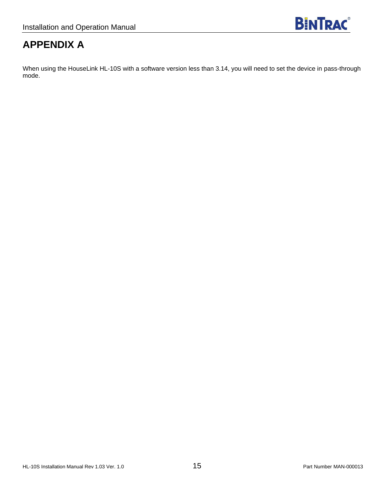# **APPENDIX A**

When using the HouseLink HL-10S with a software version less than 3.14, you will need to set the device in pass-through mode.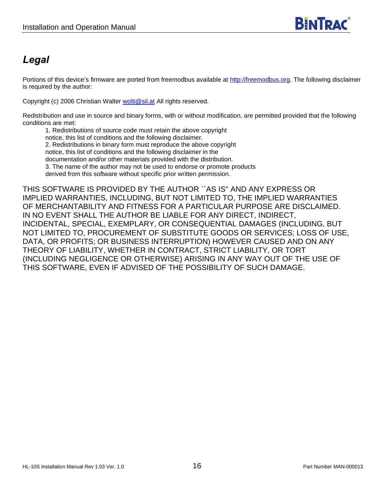### <span id="page-15-0"></span>*Legal*

Portions of this device's firmware are ported from freemodbus available at [http://freemodbus.org.](http://freemodbus.org/) The following disclaimer is required by the author:

Copyright (c) 2006 Christian Walter [wolti@sil.at](mailto:wolti@sil.at) All rights reserved.

Redistribution and use in source and binary forms, with or without modification, are permitted provided that the following conditions are met:

1. Redistributions of source code must retain the above copyright notice, this list of conditions and the following disclaimer. 2. Redistributions in binary form must reproduce the above copyright notice, this list of conditions and the following disclaimer in the documentation and/or other materials provided with the distribution. 3. The name of the author may not be used to endorse or promote products derived from this software without specific prior written permission.

THIS SOFTWARE IS PROVIDED BY THE AUTHOR ``AS IS'' AND ANY EXPRESS OR IMPLIED WARRANTIES, INCLUDING, BUT NOT LIMITED TO, THE IMPLIED WARRANTIES OF MERCHANTABILITY AND FITNESS FOR A PARTICULAR PURPOSE ARE DISCLAIMED. IN NO EVENT SHALL THE AUTHOR BE LIABLE FOR ANY DIRECT, INDIRECT, INCIDENTAL, SPECIAL, EXEMPLARY, OR CONSEQUENTIAL DAMAGES (INCLUDING, BUT NOT LIMITED TO, PROCUREMENT OF SUBSTITUTE GOODS OR SERVICES; LOSS OF USE, DATA, OR PROFITS; OR BUSINESS INTERRUPTION) HOWEVER CAUSED AND ON ANY THEORY OF LIABILITY, WHETHER IN CONTRACT, STRICT LIABILITY, OR TORT (INCLUDING NEGLIGENCE OR OTHERWISE) ARISING IN ANY WAY OUT OF THE USE OF THIS SOFTWARE, EVEN IF ADVISED OF THE POSSIBILITY OF SUCH DAMAGE.